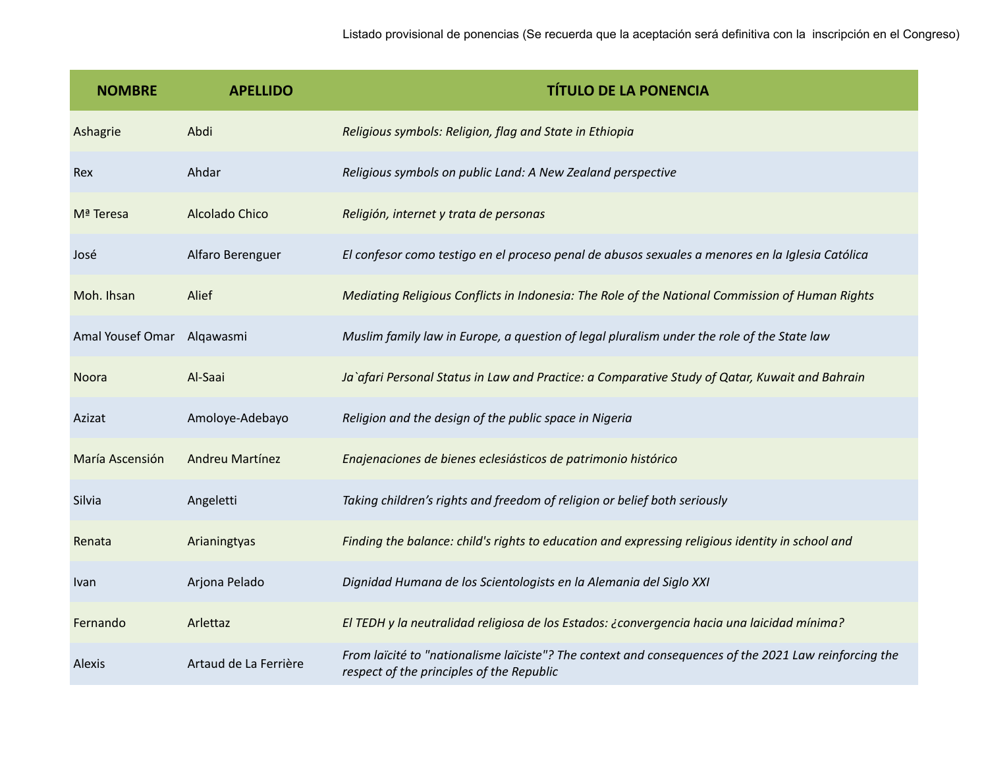| <b>NOMBRE</b>    | <b>APELLIDO</b>       | <b>TÍTULO DE LA PONENCIA</b>                                                                                                                       |
|------------------|-----------------------|----------------------------------------------------------------------------------------------------------------------------------------------------|
| Ashagrie         | Abdi                  | Religious symbols: Religion, flag and State in Ethiopia                                                                                            |
| Rex              | Ahdar                 | Religious symbols on public Land: A New Zealand perspective                                                                                        |
| Mª Teresa        | Alcolado Chico        | Religión, internet y trata de personas                                                                                                             |
| José             | Alfaro Berenguer      | El confesor como testigo en el proceso penal de abusos sexuales a menores en la Iglesia Católica                                                   |
| Moh. Ihsan       | Alief                 | Mediating Religious Conflicts in Indonesia: The Role of the National Commission of Human Rights                                                    |
| Amal Yousef Omar | Alqawasmi             | Muslim family law in Europe, a question of legal pluralism under the role of the State law                                                         |
| Noora            | Al-Saai               | Ja`afari Personal Status in Law and Practice: a Comparative Study of Qatar, Kuwait and Bahrain                                                     |
| Azizat           | Amoloye-Adebayo       | Religion and the design of the public space in Nigeria                                                                                             |
| María Ascensión  | Andreu Martínez       | Enajenaciones de bienes eclesiásticos de patrimonio histórico                                                                                      |
| Silvia           | Angeletti             | Taking children's rights and freedom of religion or belief both seriously                                                                          |
| Renata           | Arianingtyas          | Finding the balance: child's rights to education and expressing religious identity in school and                                                   |
| Ivan             | Arjona Pelado         | Dignidad Humana de los Scientologists en la Alemania del Siglo XXI                                                                                 |
| Fernando         | Arlettaz              | El TEDH y la neutralidad religiosa de los Estados: ¿convergencia hacia una laicidad mínima?                                                        |
| Alexis           | Artaud de La Ferrière | From laïcité to "nationalisme laïciste"? The context and consequences of the 2021 Law reinforcing the<br>respect of the principles of the Republic |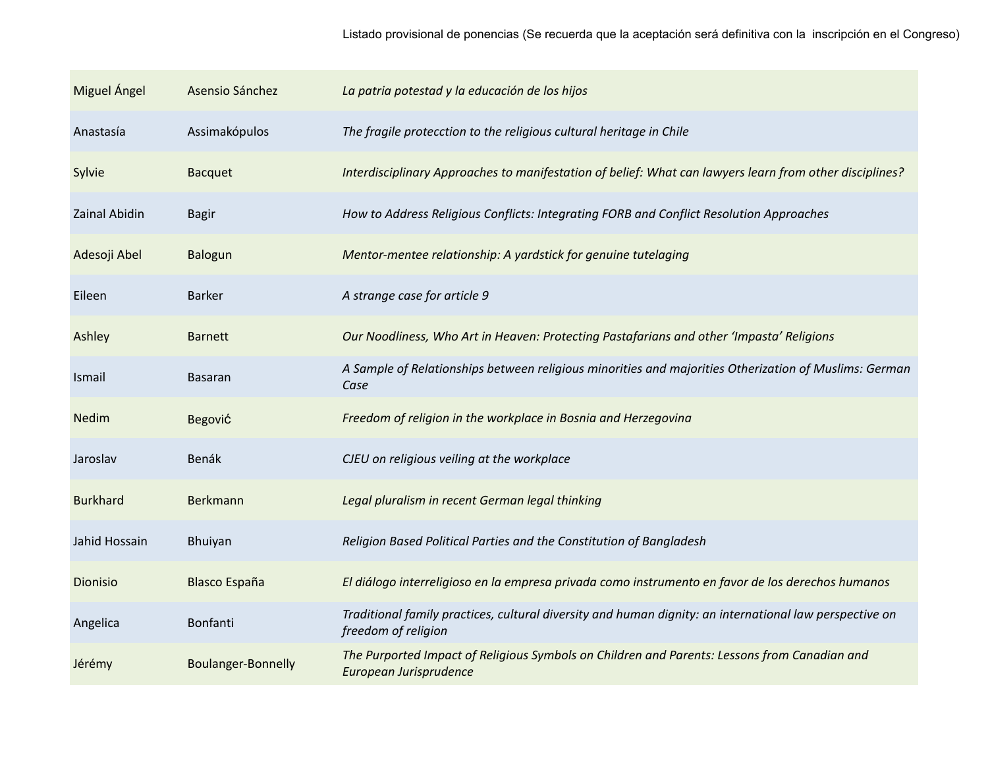| Miguel Ángel    | Asensio Sánchez           | La patria potestad y la educación de los hijos                                                                                 |
|-----------------|---------------------------|--------------------------------------------------------------------------------------------------------------------------------|
| Anastasía       | Assimakópulos             | The fragile protecction to the religious cultural heritage in Chile                                                            |
| Sylvie          | <b>Bacquet</b>            | Interdisciplinary Approaches to manifestation of belief: What can lawyers learn from other disciplines?                        |
| Zainal Abidin   | <b>Bagir</b>              | How to Address Religious Conflicts: Integrating FORB and Conflict Resolution Approaches                                        |
| Adesoji Abel    | <b>Balogun</b>            | Mentor-mentee relationship: A yardstick for genuine tutelaging                                                                 |
| Eileen          | <b>Barker</b>             | A strange case for article 9                                                                                                   |
| Ashley          | <b>Barnett</b>            | Our Noodliness, Who Art in Heaven: Protecting Pastafarians and other 'Impasta' Religions                                       |
| Ismail          | Basaran                   | A Sample of Relationships between religious minorities and majorities Otherization of Muslims: German<br>Case                  |
| Nedim           | Begović                   | Freedom of religion in the workplace in Bosnia and Herzegovina                                                                 |
| Jaroslav        | Benák                     | CJEU on religious veiling at the workplace                                                                                     |
| <b>Burkhard</b> | Berkmann                  | Legal pluralism in recent German legal thinking                                                                                |
| Jahid Hossain   | Bhuiyan                   | Religion Based Political Parties and the Constitution of Bangladesh                                                            |
| Dionisio        | <b>Blasco España</b>      | El diálogo interreligioso en la empresa privada como instrumento en favor de los derechos humanos                              |
| Angelica        | Bonfanti                  | Traditional family practices, cultural diversity and human dignity: an international law perspective on<br>freedom of religion |
| Jérémy          | <b>Boulanger-Bonnelly</b> | The Purported Impact of Religious Symbols on Children and Parents: Lessons from Canadian and<br>European Jurisprudence         |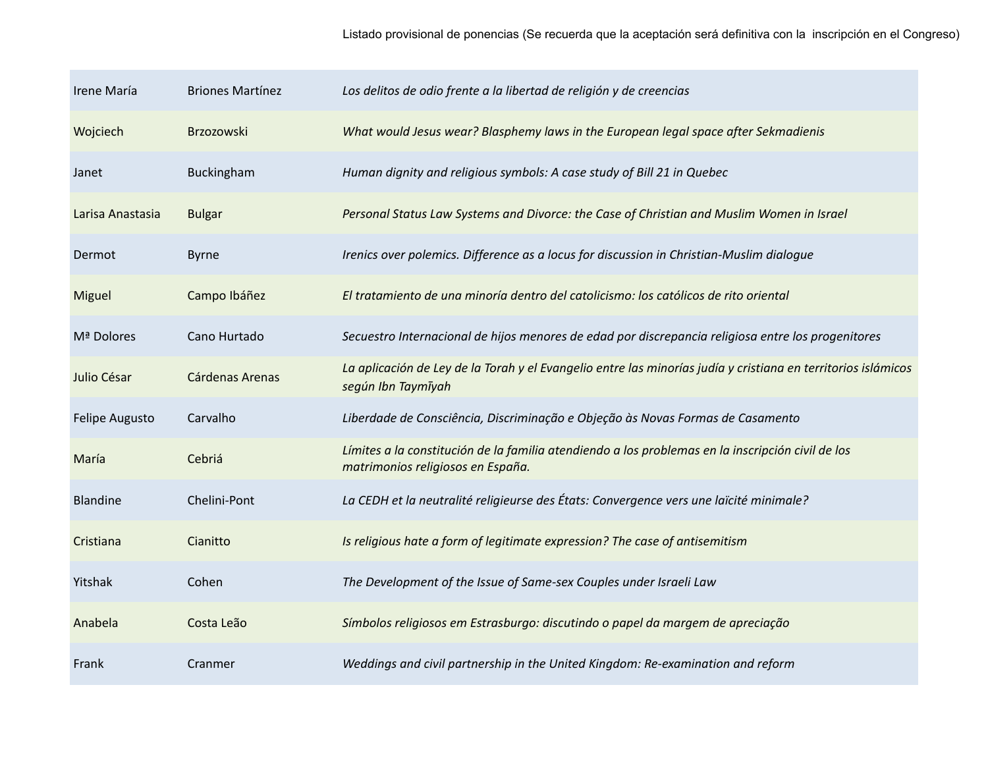| Irene María      | <b>Briones Martínez</b> | Los delitos de odio frente a la libertad de religión y de creencias                                                                    |
|------------------|-------------------------|----------------------------------------------------------------------------------------------------------------------------------------|
| Wojciech         | Brzozowski              | What would Jesus wear? Blasphemy laws in the European legal space after Sekmadienis                                                    |
| Janet            | Buckingham              | Human dignity and religious symbols: A case study of Bill 21 in Quebec                                                                 |
| Larisa Anastasia | <b>Bulgar</b>           | Personal Status Law Systems and Divorce: the Case of Christian and Muslim Women in Israel                                              |
| Dermot           | <b>Byrne</b>            | Irenics over polemics. Difference as a locus for discussion in Christian-Muslim dialogue                                               |
| Miguel           | Campo Ibáñez            | El tratamiento de una minoría dentro del catolicismo: los católicos de rito oriental                                                   |
| Mª Dolores       | Cano Hurtado            | Secuestro Internacional de hijos menores de edad por discrepancia religiosa entre los progenitores                                     |
| Julio César      | Cárdenas Arenas         | La aplicación de Ley de la Torah y el Evangelio entre las minorías judía y cristiana en territorios islámicos<br>según Ibn Taymīyah    |
| Felipe Augusto   | Carvalho                | Liberdade de Consciência, Discriminação e Objeção às Novas Formas de Casamento                                                         |
| María            | Cebriá                  | Límites a la constitución de la familia atendiendo a los problemas en la inscripción civil de los<br>matrimonios religiosos en España. |
| <b>Blandine</b>  | Chelini-Pont            | La CEDH et la neutralité religieurse des États: Convergence vers une laïcité minimale?                                                 |
| Cristiana        | Cianitto                | Is religious hate a form of legitimate expression? The case of antisemitism                                                            |
| Yitshak          | Cohen                   | The Development of the Issue of Same-sex Couples under Israeli Law                                                                     |
| Anabela          | Costa Leão              | Símbolos religiosos em Estrasburgo: discutindo o papel da margem de apreciação                                                         |
| Frank            | Cranmer                 | Weddings and civil partnership in the United Kingdom: Re-examination and reform                                                        |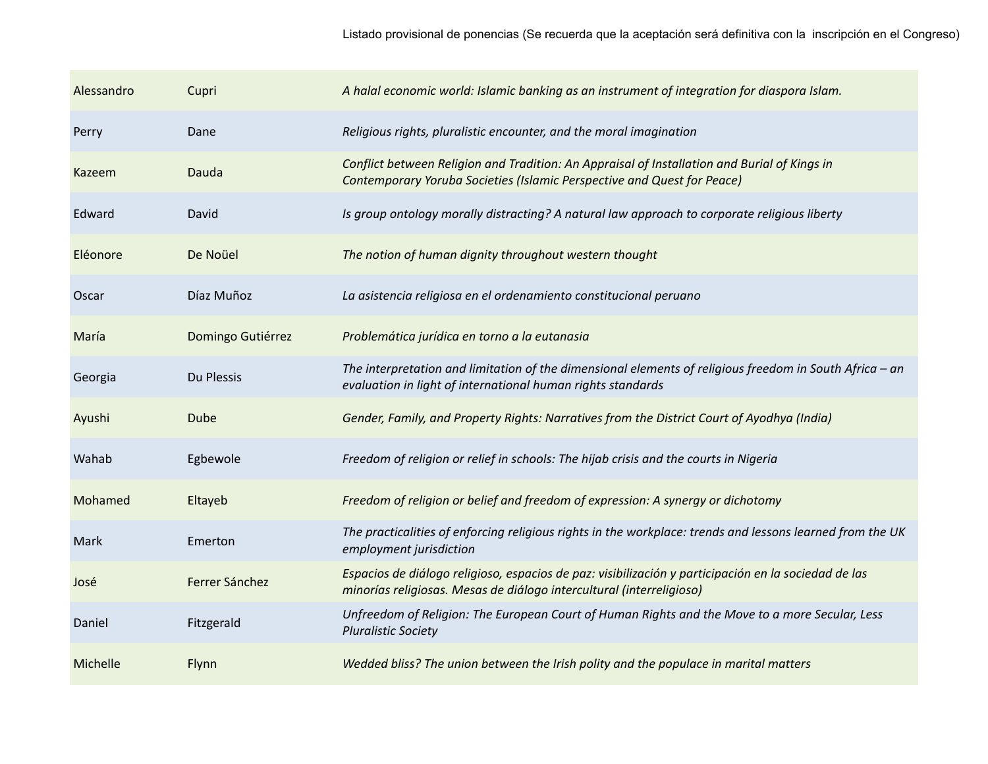| Alessandro | Cupri             | A halal economic world: Islamic banking as an instrument of integration for diaspora Islam.                                                                                  |
|------------|-------------------|------------------------------------------------------------------------------------------------------------------------------------------------------------------------------|
| Perry      | Dane              | Religious rights, pluralistic encounter, and the moral imagination                                                                                                           |
| Kazeem     | Dauda             | Conflict between Religion and Tradition: An Appraisal of Installation and Burial of Kings in<br>Contemporary Yoruba Societies (Islamic Perspective and Quest for Peace)      |
| Edward     | David             | Is group ontology morally distracting? A natural law approach to corporate religious liberty                                                                                 |
| Eléonore   | De Noüel          | The notion of human dignity throughout western thought                                                                                                                       |
| Oscar      | Díaz Muñoz        | La asistencia religiosa en el ordenamiento constitucional peruano                                                                                                            |
| María      | Domingo Gutiérrez | Problemática jurídica en torno a la eutanasia                                                                                                                                |
| Georgia    | Du Plessis        | The interpretation and limitation of the dimensional elements of religious freedom in South Africa - an<br>evaluation in light of international human rights standards       |
| Ayushi     | <b>Dube</b>       | Gender, Family, and Property Rights: Narratives from the District Court of Ayodhya (India)                                                                                   |
| Wahab      | Egbewole          | Freedom of religion or relief in schools: The hijab crisis and the courts in Nigeria                                                                                         |
| Mohamed    | Eltayeb           | Freedom of religion or belief and freedom of expression: A synergy or dichotomy                                                                                              |
| Mark       | Emerton           | The practicalities of enforcing religious rights in the workplace: trends and lessons learned from the UK<br>employment jurisdiction                                         |
| José       | Ferrer Sánchez    | Espacios de diálogo religioso, espacios de paz: visibilización y participación en la sociedad de las<br>minorías religiosas. Mesas de diálogo intercultural (interreligioso) |
| Daniel     | Fitzgerald        | Unfreedom of Religion: The European Court of Human Rights and the Move to a more Secular, Less<br><b>Pluralistic Society</b>                                                 |
| Michelle   | Flynn             | Wedded bliss? The union between the Irish polity and the populace in marital matters                                                                                         |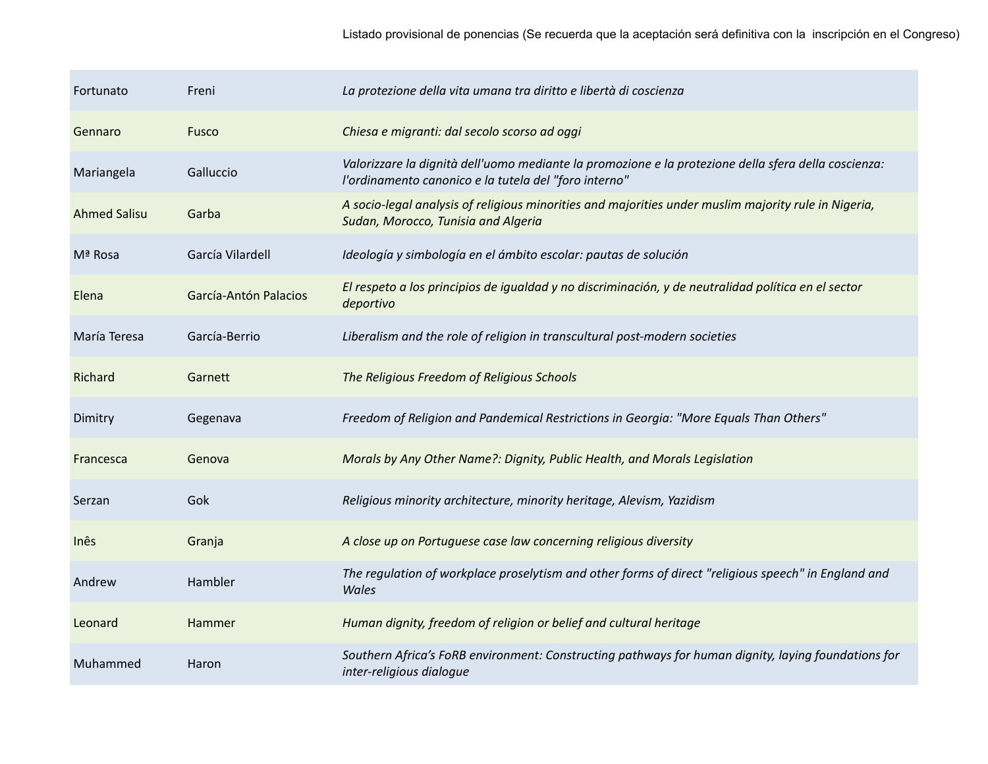| Fortunato           | Freni                 | La protezione della vita umana tra diritto e libertà di coscienza                                                                                             |
|---------------------|-----------------------|---------------------------------------------------------------------------------------------------------------------------------------------------------------|
| Gennaro             | Fusco                 | Chiesa e migranti: dal secolo scorso ad oggi                                                                                                                  |
| Mariangela          | Galluccio             | Valorizzare la dignità dell'uomo mediante la promozione e la protezione della sfera della coscienza:<br>l'ordinamento canonico e la tutela del "foro interno" |
| <b>Ahmed Salisu</b> | Garba                 | A socio-legal analysis of religious minorities and majorities under muslim majority rule in Nigeria,<br>Sudan, Morocco, Tunisia and Algeria                   |
| Mª Rosa             | García Vilardell      | Ideología y simbología en el ámbito escolar: pautas de solución                                                                                               |
| Elena               | García-Antón Palacios | El respeto a los principios de igualdad y no discriminación, y de neutralidad política en el sector<br>deportivo                                              |
| María Teresa        | García-Berrio         | Liberalism and the role of religion in transcultural post-modern societies                                                                                    |
| Richard             | Garnett               | The Religious Freedom of Religious Schools                                                                                                                    |
| Dimitry             | Gegenava              | Freedom of Religion and Pandemical Restrictions in Georgia: "More Equals Than Others"                                                                         |
| Francesca           | Genova                | Morals by Any Other Name?: Dignity, Public Health, and Morals Legislation                                                                                     |
| Serzan              | Gok                   | Religious minority architecture, minority heritage, Alevism, Yazidism                                                                                         |
| Inês                | Granja                | A close up on Portuguese case law concerning religious diversity                                                                                              |
| Andrew              | Hambler               | The regulation of workplace proselytism and other forms of direct "religious speech" in England and<br>Wales                                                  |
| Leonard             | Hammer                | Human dignity, freedom of religion or belief and cultural heritage                                                                                            |
| Muhammed            | Haron                 | Southern Africa's FoRB environment: Constructing pathways for human dignity, laying foundations for<br>inter-religious dialogue                               |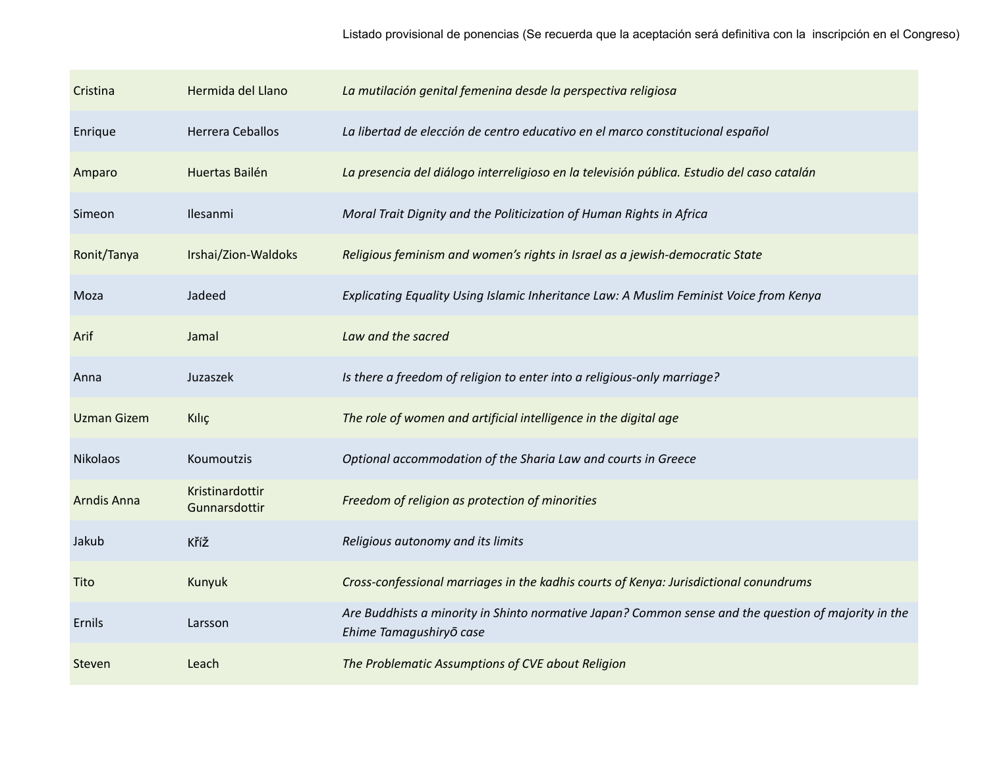| Cristina           | Hermida del Llano                | La mutilación genital femenina desde la perspectiva religiosa                                                                   |
|--------------------|----------------------------------|---------------------------------------------------------------------------------------------------------------------------------|
| Enrique            | <b>Herrera Ceballos</b>          | La libertad de elección de centro educativo en el marco constitucional español                                                  |
| Amparo             | Huertas Bailén                   | La presencia del diálogo interreligioso en la televisión pública. Estudio del caso catalán                                      |
| Simeon             | Ilesanmi                         | Moral Trait Dignity and the Politicization of Human Rights in Africa                                                            |
| Ronit/Tanya        | Irshai/Zion-Waldoks              | Religious feminism and women's rights in Israel as a jewish-democratic State                                                    |
| Moza               | Jadeed                           | Explicating Equality Using Islamic Inheritance Law: A Muslim Feminist Voice from Kenya                                          |
| Arif               | Jamal                            | Law and the sacred                                                                                                              |
| Anna               | Juzaszek                         | Is there a freedom of religion to enter into a religious-only marriage?                                                         |
| <b>Uzman Gizem</b> | Kılıç                            | The role of women and artificial intelligence in the digital age                                                                |
| <b>Nikolaos</b>    | Koumoutzis                       | Optional accommodation of the Sharia Law and courts in Greece                                                                   |
| <b>Arndis Anna</b> | Kristinardottir<br>Gunnarsdottir | Freedom of religion as protection of minorities                                                                                 |
| Jakub              | Kříž                             | Religious autonomy and its limits                                                                                               |
| Tito               | Kunyuk                           | Cross-confessional marriages in the kadhis courts of Kenya: Jurisdictional conundrums                                           |
| Ernils             | Larsson                          | Are Buddhists a minority in Shinto normative Japan? Common sense and the question of majority in the<br>Ehime Tamagushiryō case |
| Steven             | Leach                            | The Problematic Assumptions of CVE about Religion                                                                               |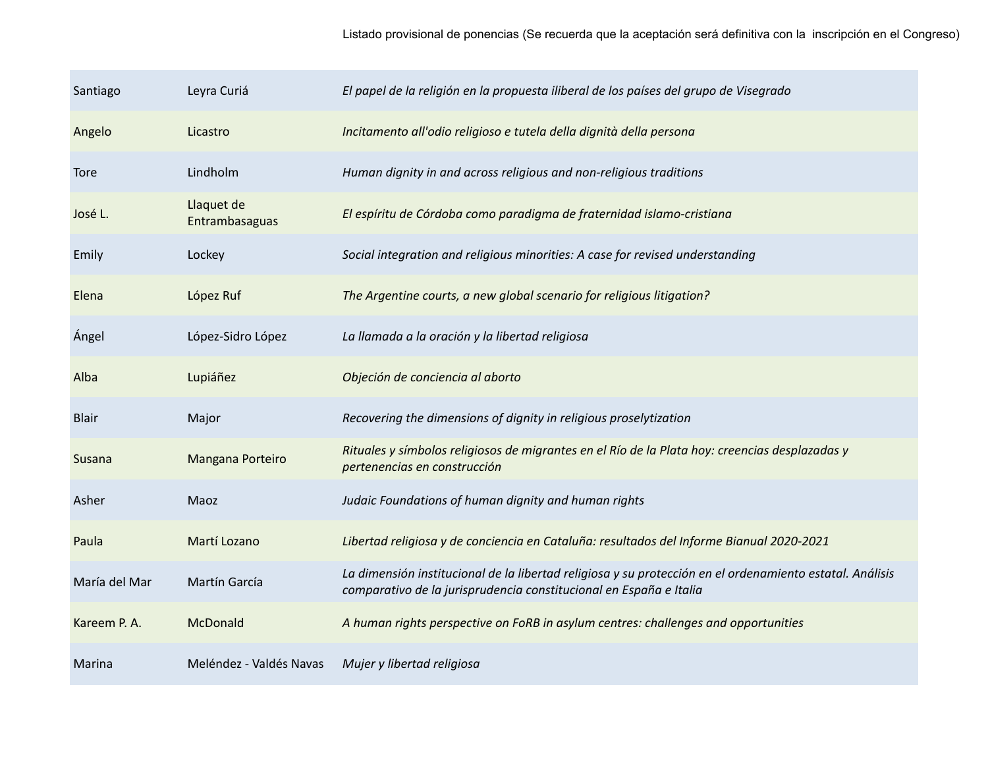| Santiago      | Leyra Curiá                  | El papel de la religión en la propuesta iliberal de los países del grupo de Visegrado                                                                                          |
|---------------|------------------------------|--------------------------------------------------------------------------------------------------------------------------------------------------------------------------------|
| Angelo        | Licastro                     | Incitamento all'odio religioso e tutela della dignità della persona                                                                                                            |
| <b>Tore</b>   | Lindholm                     | Human dignity in and across religious and non-religious traditions                                                                                                             |
| José L.       | Llaquet de<br>Entrambasaguas | El espíritu de Córdoba como paradigma de fraternidad islamo-cristiana                                                                                                          |
| Emily         | Lockey                       | Social integration and religious minorities: A case for revised understanding                                                                                                  |
| Elena         | López Ruf                    | The Argentine courts, a new global scenario for religious litigation?                                                                                                          |
| Ángel         | López-Sidro López            | La llamada a la oración y la libertad religiosa                                                                                                                                |
| Alba          | Lupiáñez                     | Objeción de conciencia al aborto                                                                                                                                               |
| <b>Blair</b>  | Major                        | Recovering the dimensions of dignity in religious proselytization                                                                                                              |
| Susana        | Mangana Porteiro             | Rituales y símbolos religiosos de migrantes en el Río de la Plata hoy: creencias desplazadas y<br>pertenencias en construcción                                                 |
| Asher         | Maoz                         | Judaic Foundations of human dignity and human rights                                                                                                                           |
| Paula         | Martí Lozano                 | Libertad religiosa y de conciencia en Cataluña: resultados del Informe Bianual 2020-2021                                                                                       |
| María del Mar | Martín García                | La dimensión institucional de la libertad religiosa y su protección en el ordenamiento estatal. Análisis<br>comparativo de la jurisprudencia constitucional en España e Italia |
| Kareem P.A.   | McDonald                     | A human rights perspective on FoRB in asylum centres: challenges and opportunities                                                                                             |
| Marina        | Meléndez - Valdés Navas      | Mujer y libertad religiosa                                                                                                                                                     |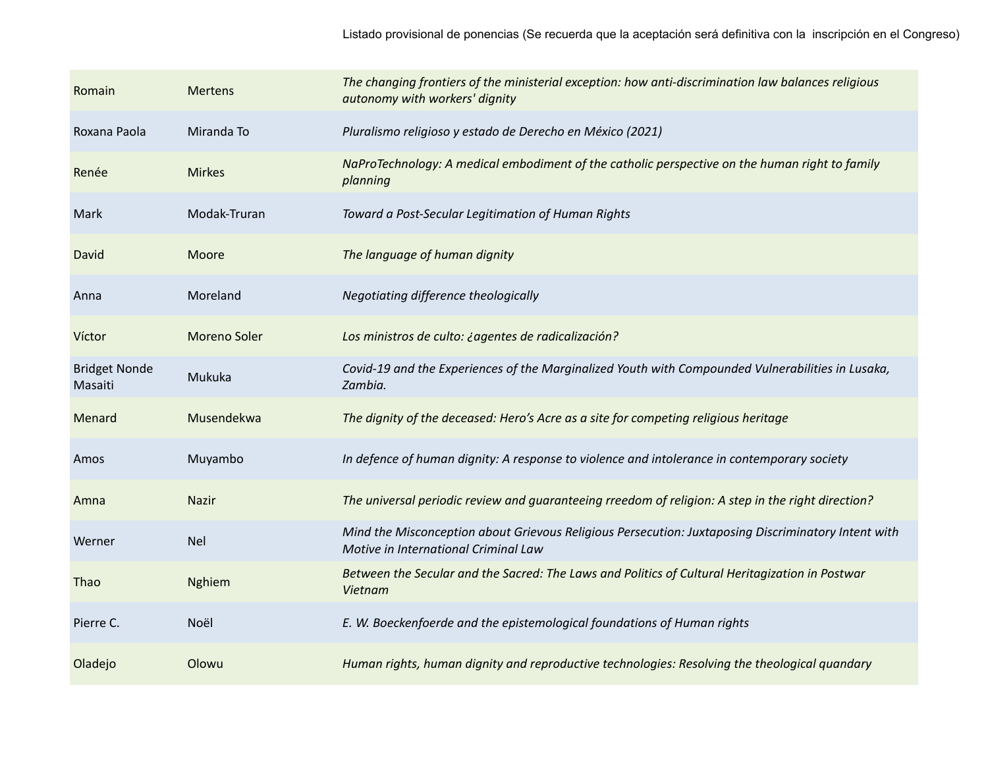| Romain                          | <b>Mertens</b> | The changing frontiers of the ministerial exception: how anti-discrimination law balances religious<br>autonomy with workers' dignity       |
|---------------------------------|----------------|---------------------------------------------------------------------------------------------------------------------------------------------|
| Roxana Paola                    | Miranda To     | Pluralismo religioso y estado de Derecho en México (2021)                                                                                   |
| Renée                           | <b>Mirkes</b>  | NaProTechnology: A medical embodiment of the catholic perspective on the human right to family<br>planning                                  |
| Mark                            | Modak-Truran   | Toward a Post-Secular Legitimation of Human Rights                                                                                          |
| David                           | Moore          | The language of human dignity                                                                                                               |
| Anna                            | Moreland       | Negotiating difference theologically                                                                                                        |
| Víctor                          | Moreno Soler   | Los ministros de culto: ¿agentes de radicalización?                                                                                         |
| <b>Bridget Nonde</b><br>Masaiti | Mukuka         | Covid-19 and the Experiences of the Marginalized Youth with Compounded Vulnerabilities in Lusaka,<br>Zambia.                                |
| Menard                          | Musendekwa     | The dignity of the deceased: Hero's Acre as a site for competing religious heritage                                                         |
| Amos                            | Muyambo        | In defence of human dignity: A response to violence and intolerance in contemporary society                                                 |
| Amna                            | <b>Nazir</b>   | The universal periodic review and guaranteeing rreedom of religion: A step in the right direction?                                          |
| Werner                          | <b>Nel</b>     | Mind the Misconception about Grievous Religious Persecution: Juxtaposing Discriminatory Intent with<br>Motive in International Criminal Law |
| Thao                            | <b>Nghiem</b>  | Between the Secular and the Sacred: The Laws and Politics of Cultural Heritagization in Postwar<br>Vietnam                                  |
| Pierre C.                       | Noël           | E. W. Boeckenfoerde and the epistemological foundations of Human rights                                                                     |
| Oladejo                         | Olowu          | Human rights, human dignity and reproductive technologies: Resolving the theological quandary                                               |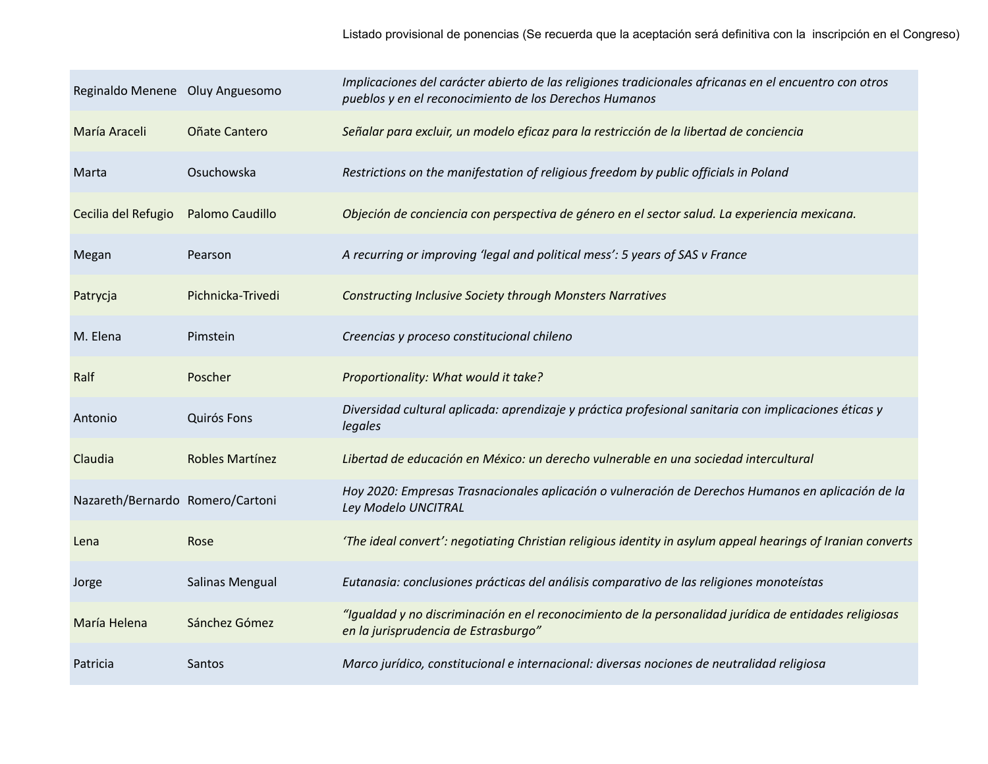| Reginaldo Menene Oluy Anguesomo  |                   | Implicaciones del carácter abierto de las religiones tradicionales africanas en el encuentro con otros<br>pueblos y en el reconocimiento de los Derechos Humanos |
|----------------------------------|-------------------|------------------------------------------------------------------------------------------------------------------------------------------------------------------|
| María Araceli                    | Oñate Cantero     | Señalar para excluir, un modelo eficaz para la restricción de la libertad de conciencia                                                                          |
| Marta                            | Osuchowska        | Restrictions on the manifestation of religious freedom by public officials in Poland                                                                             |
| Cecilia del Refugio              | Palomo Caudillo   | Objeción de conciencia con perspectiva de género en el sector salud. La experiencia mexicana.                                                                    |
| Megan                            | Pearson           | A recurring or improving 'legal and political mess': 5 years of SAS v France                                                                                     |
| Patrycja                         | Pichnicka-Trivedi | <b>Constructing Inclusive Society through Monsters Narratives</b>                                                                                                |
| M. Elena                         | Pimstein          | Creencias y proceso constitucional chileno                                                                                                                       |
| Ralf                             | Poscher           | Proportionality: What would it take?                                                                                                                             |
| Antonio                          | Quirós Fons       | Diversidad cultural aplicada: aprendizaje y práctica profesional sanitaria con implicaciones éticas y<br>legales                                                 |
| Claudia                          | Robles Martínez   | Libertad de educación en México: un derecho vulnerable en una sociedad intercultural                                                                             |
| Nazareth/Bernardo Romero/Cartoni |                   | Hoy 2020: Empresas Trasnacionales aplicación o vulneración de Derechos Humanos en aplicación de la<br>Ley Modelo UNCITRAL                                        |
| Lena                             | Rose              | 'The ideal convert': negotiating Christian religious identity in asylum appeal hearings of Iranian converts                                                      |
| Jorge                            | Salinas Mengual   | Eutanasia: conclusiones prácticas del análisis comparativo de las religiones monoteístas                                                                         |
| María Helena                     | Sánchez Gómez     | "Igualdad y no discriminación en el reconocimiento de la personalidad jurídica de entidades religiosas<br>en la jurisprudencia de Estrasburgo"                   |
| Patricia                         | Santos            | Marco jurídico, constitucional e internacional: diversas nociones de neutralidad religiosa                                                                       |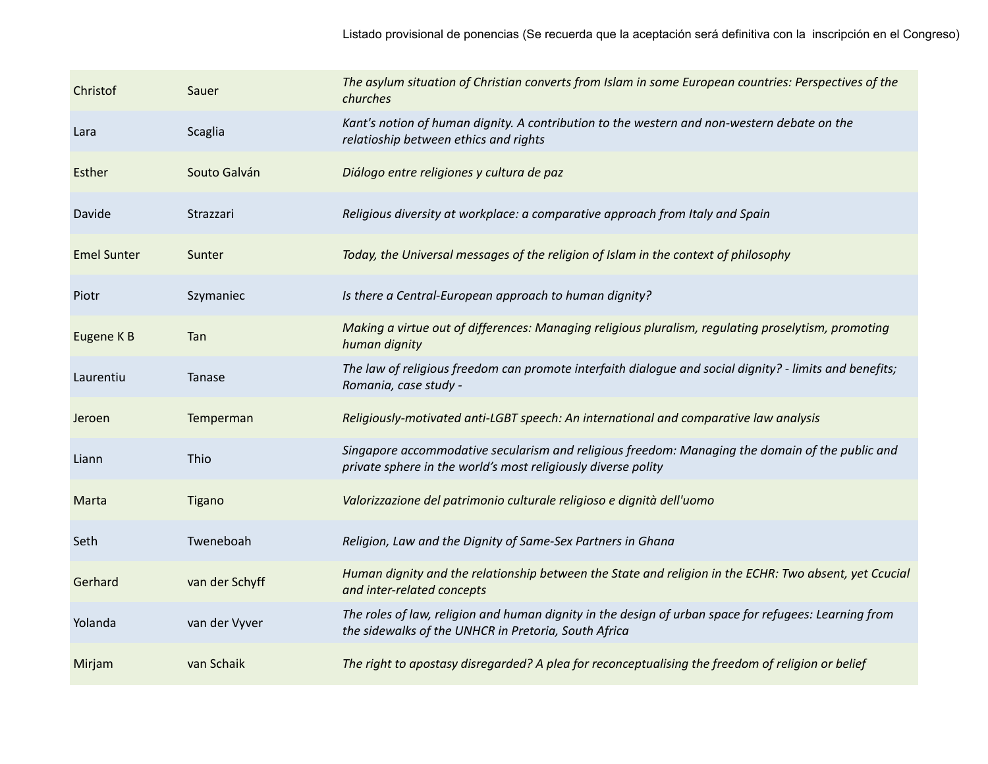| Christof           | Sauer          | The asylum situation of Christian converts from Islam in some European countries: Perspectives of the<br>churches                                                |
|--------------------|----------------|------------------------------------------------------------------------------------------------------------------------------------------------------------------|
| Lara               | Scaglia        | Kant's notion of human dignity. A contribution to the western and non-western debate on the<br>relatioship between ethics and rights                             |
| Esther             | Souto Galván   | Diálogo entre religiones y cultura de paz                                                                                                                        |
| Davide             | Strazzari      | Religious diversity at workplace: a comparative approach from Italy and Spain                                                                                    |
| <b>Emel Sunter</b> | Sunter         | Today, the Universal messages of the religion of Islam in the context of philosophy                                                                              |
| Piotr              | Szymaniec      | Is there a Central-European approach to human dignity?                                                                                                           |
| Eugene K B         | Tan            | Making a virtue out of differences: Managing religious pluralism, regulating proselytism, promoting<br>human dignity                                             |
| Laurentiu          | Tanase         | The law of religious freedom can promote interfaith dialogue and social dignity? - limits and benefits;<br>Romania, case study -                                 |
| Jeroen             | Temperman      | Religiously-motivated anti-LGBT speech: An international and comparative law analysis                                                                            |
| Liann              | Thio           | Singapore accommodative secularism and religious freedom: Managing the domain of the public and<br>private sphere in the world's most religiously diverse polity |
| Marta              | <b>Tigano</b>  | Valorizzazione del patrimonio culturale religioso e dignità dell'uomo                                                                                            |
| Seth               | Tweneboah      | Religion, Law and the Dignity of Same-Sex Partners in Ghana                                                                                                      |
| Gerhard            | van der Schyff | Human dignity and the relationship between the State and religion in the ECHR: Two absent, yet Ccucial<br>and inter-related concepts                             |
| Yolanda            | van der Vyver  | The roles of law, religion and human dignity in the design of urban space for refugees: Learning from<br>the sidewalks of the UNHCR in Pretoria, South Africa    |
| Mirjam             | van Schaik     | The right to apostasy disregarded? A plea for reconceptualising the freedom of religion or belief                                                                |